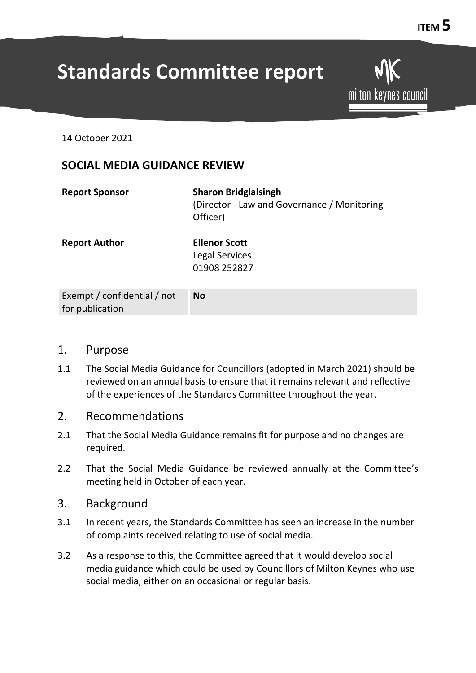# **Standards Committee report**

milton keynes council

14 October 2021

## **SOCIAL MEDIA GUIDANCE REVIEW**

| <b>Report Sponsor</b> | <b>Sharon Bridglalsingh</b><br>(Director - Law and Governance / Monitoring<br>Officer) |
|-----------------------|----------------------------------------------------------------------------------------|
| <b>Report Author</b>  | <b>Ellenor Scott</b><br>Legal Services<br>01908 252827                                 |
|                       |                                                                                        |

| Exempt / confidential / not | No |
|-----------------------------|----|
| for publication             |    |

#### 1. Purpose

1.1 The Social Media Guidance for Councillors (adopted in March 2021) should be reviewed on an annual basis to ensure that it remains relevant and reflective of the experiences of the Standards Committee throughout the year.

#### 2. Recommendations

- 2.1 That the Social Media Guidance remains fit for purpose and no changes are required.
- 2.2 That the Social Media Guidance be reviewed annually at the Committee's meeting held in October of each year.

#### 3. Background

- 3.1 In recent years, the Standards Committee has seen an increase in the number of complaints received relating to use of social media.
- 3.2 As a response to this, the Committee agreed that it would develop social media guidance which could be used by Councillors of Milton Keynes who use social media, either on an occasional or regular basis.